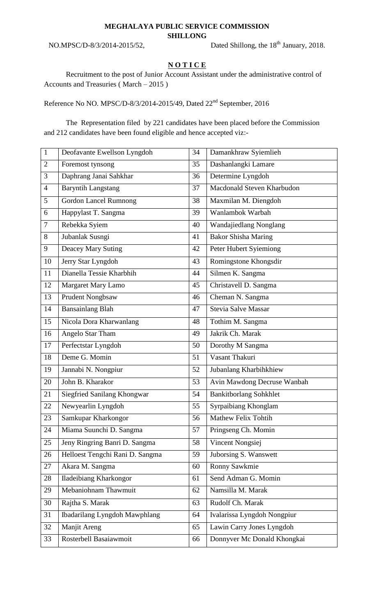## **MEGHALAYA PUBLIC SERVICE COMMISSION**

**SHILLONG**

NO.MPSC/D-8/3/2014-2015/52,

Dated Shillong, the 18<sup>th</sup> January, 2018.

## **N O T I C E**

Recruitment to the post of Junior Account Assistant under the administrative control of Accounts and Treasuries ( March – 2015 )

Reference No NO. MPSC/D-8/3/2014-2015/49, Dated 22<sup>nd</sup> September, 2016

The Representation filed by 221 candidates have been placed before the Commission and 212 candidates have been found eligible and hence accepted viz:-

| $\mathbf{1}$   | Deofavante Ewellson Lyngdoh          | 34 | Damankhraw Syiemlieh          |
|----------------|--------------------------------------|----|-------------------------------|
| $\overline{2}$ | Foremost tynsong                     | 35 | Dashanlangki Lamare           |
| 3              | Daphrang Janai Sahkhar               | 36 | Determine Lyngdoh             |
| $\overline{4}$ | <b>Baryntih Langstang</b>            | 37 | Macdonald Steven Kharbudon    |
| 5              | <b>Gordon Lancel Rumnong</b>         | 38 | Maxmilan M. Diengdoh          |
| 6              | Happylast T. Sangma                  | 39 | Wanlambok Warbah              |
| $\overline{7}$ | Rebekka Syiem                        | 40 | Wandajiedlang Nonglang        |
| 8              | Jubanlak Susngi                      | 41 | <b>Bakor Shisha Maring</b>    |
| 9              | Deacey Mary Suting                   | 42 | Peter Hubert Sylemiong        |
| 10             | Jerry Star Lyngdoh                   | 43 | Romingstone Khongsdir         |
| 11             | Dianella Tessie Kharbhih             | 44 | Silmen K. Sangma              |
| 12             | Margaret Mary Lamo                   | 45 | Christavell D. Sangma         |
| 13             | <b>Prudent Nongbsaw</b>              | 46 | Cheman N. Sangma              |
| 14             | <b>Bansainlang Blah</b>              | 47 | Stevia Salve Massar           |
| 15             | Nicola Dora Kharwanlang              | 48 | Tothim M. Sangma              |
| 16             | Angelo Star Tham                     | 49 | Jakrik Ch. Marak              |
| 17             | Perfectstar Lyngdoh                  | 50 | Dorothy M Sangma              |
| 18             | Deme G. Momin                        | 51 | Vasant Thakuri                |
| 19             | Jannabi N. Nongpiur                  | 52 | Jubanlang Kharbihkhiew        |
| 20             | John B. Kharakor                     | 53 | Avin Mawdong Decruse Wanbah   |
| 21             | Siegfried Sanilang Khongwar          | 54 | <b>Bankitborlang Sohkhlet</b> |
| 22             | Newyearlin Lyngdoh                   | 55 | Syrpaibiang Khonglam          |
| 23             | Samkupar Kharkongor                  | 56 | Mathew Felix Tohtih           |
| 24             | Miama Suunchi D. Sangma              | 57 | Pringseng Ch. Momin           |
| 25             | Jeny Ringring Banri D. Sangma        | 58 | Vincent Nongsiej              |
| 26             | Helloest Tengchi Rani D. Sangma      | 59 | Juborsing S. Wanswett         |
| 27             | Akara M. Sangma                      | 60 | Ronny Sawkmie                 |
| 28             | Iladeibiang Kharkongor               | 61 | Send Adman G. Momin           |
| 29             | Mebaniohnam Thawmuit                 | 62 | Namsilla M. Marak             |
| 30             | Rajtha S. Marak                      | 63 | Rudolf Ch. Marak              |
| 31             | <b>Ibadarilang Lyngdoh Mawphlang</b> | 64 | Ivalarissa Lyngdoh Nongpiur   |
| 32             | Manjit Areng                         | 65 | Lawin Carry Jones Lyngdoh     |
| 33             | Rosterbell Basaiawmoit               | 66 | Donnyver Mc Donald Khongkai   |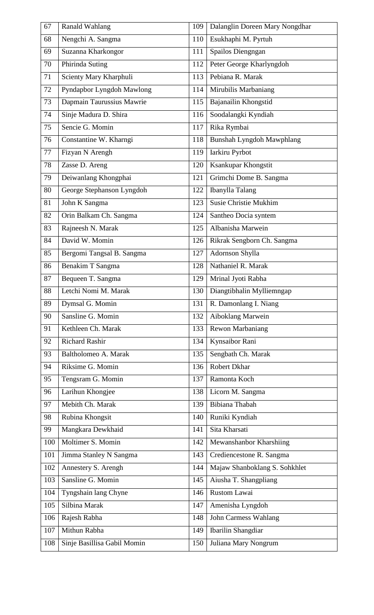| 67  | <b>Ranald Wahlang</b>       | 109 | Dalanglin Doreen Mary Nongdhar   |
|-----|-----------------------------|-----|----------------------------------|
| 68  | Nengchi A. Sangma           | 110 | Esukhaphi M. Pyrtuh              |
| 69  | Suzanna Kharkongor          | 111 | Spailos Diengngan                |
| 70  | Phirinda Suting             | 112 | Peter George Kharlyngdoh         |
| 71  | Scienty Mary Kharphuli      | 113 | Pebiana R. Marak                 |
| 72  | Pyndapbor Lyngdoh Mawlong   | 114 | Mirubilis Marbaniang             |
| 73  | Dapmain Taurussius Mawrie   | 115 | Bajanailin Khongstid             |
| 74  | Sinje Madura D. Shira       | 116 | Soodalangki Kyndiah              |
| 75  | Sencie G. Momin             | 117 | Rika Rymbai                      |
| 76  | Constantine W. Kharngi      | 118 | <b>Bunshah Lyngdoh Mawphlang</b> |
| 77  | Fizyan N Arengh             | 119 | Iarkiru Pyrbot                   |
| 78  | Zasse D. Areng              | 120 | Ksankupar Khongstit              |
| 79  | Deiwanlang Khongphai        | 121 | Grimchi Dome B. Sangma           |
| 80  | George Stephanson Lyngdoh   | 122 | Ibanylla Talang                  |
| 81  | John K Sangma               | 123 | Susie Christie Mukhim            |
| 82  | Orin Balkam Ch. Sangma      | 124 | Santheo Docia syntem             |
| 83  | Rajneesh N. Marak           | 125 | Albanisha Marwein                |
| 84  | David W. Momin              | 126 | Rikrak Sengborn Ch. Sangma       |
| 85  | Bergomi Tangsal B. Sangma   | 127 | Adornson Shylla                  |
| 86  | Benakim T Sangma            | 128 | Nathaniel R. Marak               |
| 87  | Bequeen T. Sangma           | 129 | Mrinal Jyoti Rabha               |
| 88  | Letchi Nomi M. Marak        | 130 | Diangtibhalin Mylliemngap        |
| 89  | Dymsal G. Momin             | 131 | R. Damonlang I. Niang            |
| 90  | Sansline G. Momin           | 132 | Aiboklang Marwein                |
| 91  | Kethleen Ch. Marak          | 133 | <b>Rewon Marbaniang</b>          |
| 92  | <b>Richard Rashir</b>       | 134 | Kynsaibor Rani                   |
| 93  | Baltholomeo A. Marak        | 135 | Sengbath Ch. Marak               |
| 94  | Riksime G. Momin            | 136 | <b>Robert Dkhar</b>              |
| 95  | Tengsram G. Momin           | 137 | Ramonta Koch                     |
| 96  | Larihun Khongjee            | 138 | Licorn M. Sangma                 |
| 97  | Mebith Ch. Marak            | 139 | Bibiana Thabah                   |
| 98  | Rubina Khongsit             | 140 | Runiki Kyndiah                   |
| 99  | Mangkara Dewkhaid           | 141 | Sita Kharsati                    |
| 100 | Moltimer S. Momin           | 142 | Mewanshanbor Kharshiing          |
| 101 | Jimma Stanley N Sangma      | 143 | Crediencestone R. Sangma         |
| 102 | Annestery S. Arengh         | 144 | Majaw Shanboklang S. Sohkhlet    |
| 103 | Sansline G. Momin           | 145 | Aiusha T. Shangpliang            |
| 104 | Tyngshain lang Chyne        | 146 | Rustom Lawai                     |
| 105 | Silbina Marak               | 147 | Amenisha Lyngdoh                 |
| 106 | Rajesh Rabha                | 148 | <b>John Carmess Wahlang</b>      |
| 107 | Mithun Rabha                | 149 | <b>Ibarilin Shangdiar</b>        |
| 108 | Sinje Basillisa Gabil Momin | 150 | Juliana Mary Nongrum             |